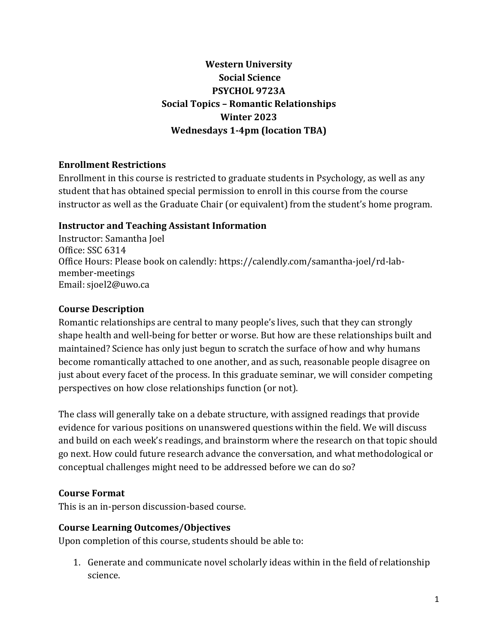# **Western University Social Science PSYCHOL 9723A Social Topics – Romantic Relationships Winter 2023 Wednesdays 1-4pm (location TBA)**

# **Enrollment Restrictions**

Enrollment in this course is restricted to graduate students in Psychology, as well as any student that has obtained special permission to enroll in this course from the course instructor as well as the Graduate Chair (or equivalent) from the student's home program.

# **Instructor and Teaching Assistant Information**

Instructor: Samantha Joel Office: SSC 6314 Office Hours: Please book on calendly: https://calendly.com/samantha-joel/rd-labmember-meetings Email: sjoel2@uwo.ca

# **Course Description**

Romantic relationships are central to many people's lives, such that they can strongly shape health and well-being for better or worse. But how are these relationships built and maintained? Science has only just begun to scratch the surface of how and why humans become romantically attached to one another, and as such, reasonable people disagree on just about every facet of the process. In this graduate seminar, we will consider competing perspectives on how close relationships function (or not).

The class will generally take on a debate structure, with assigned readings that provide evidence for various positions on unanswered questions within the field. We will discuss and build on each week's readings, and brainstorm where the research on that topic should go next. How could future research advance the conversation, and what methodological or conceptual challenges might need to be addressed before we can do so?

# **Course Format**

This is an in-person discussion-based course.

# **Course Learning Outcomes/Objectives**

Upon completion of this course, students should be able to:

1. Generate and communicate novel scholarly ideas within in the field of relationship science.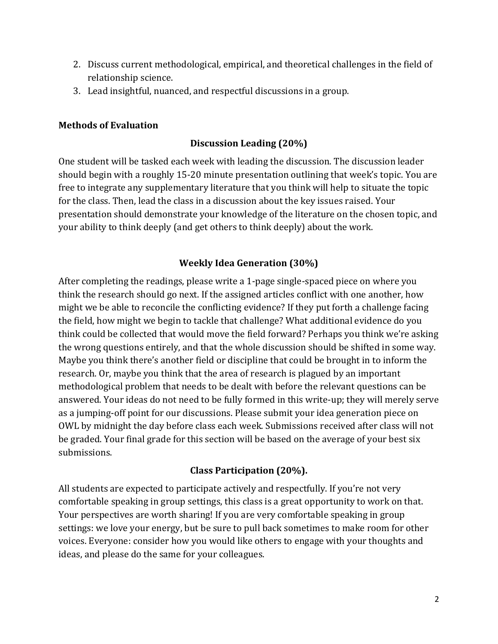- 2. Discuss current methodological, empirical, and theoretical challenges in the field of relationship science.
- 3. Lead insightful, nuanced, and respectful discussions in a group.

# **Methods of Evaluation**

# **Discussion Leading (20%)**

One student will be tasked each week with leading the discussion. The discussion leader should begin with a roughly 15-20 minute presentation outlining that week's topic. You are free to integrate any supplementary literature that you think will help to situate the topic for the class. Then, lead the class in a discussion about the key issues raised. Your presentation should demonstrate your knowledge of the literature on the chosen topic, and your ability to think deeply (and get others to think deeply) about the work.

# **Weekly Idea Generation (30%)**

After completing the readings, please write a 1-page single-spaced piece on where you think the research should go next. If the assigned articles conflict with one another, how might we be able to reconcile the conflicting evidence? If they put forth a challenge facing the field, how might we begin to tackle that challenge? What additional evidence do you think could be collected that would move the field forward? Perhaps you think we're asking the wrong questions entirely, and that the whole discussion should be shifted in some way. Maybe you think there's another field or discipline that could be brought in to inform the research. Or, maybe you think that the area of research is plagued by an important methodological problem that needs to be dealt with before the relevant questions can be answered. Your ideas do not need to be fully formed in this write-up; they will merely serve as a jumping-off point for our discussions. Please submit your idea generation piece on OWL by midnight the day before class each week. Submissions received after class will not be graded. Your final grade for this section will be based on the average of your best six submissions.

# **Class Participation (20%).**

All students are expected to participate actively and respectfully. If you're not very comfortable speaking in group settings, this class is a great opportunity to work on that. Your perspectives are worth sharing! If you are very comfortable speaking in group settings: we love your energy, but be sure to pull back sometimes to make room for other voices. Everyone: consider how you would like others to engage with your thoughts and ideas, and please do the same for your colleagues.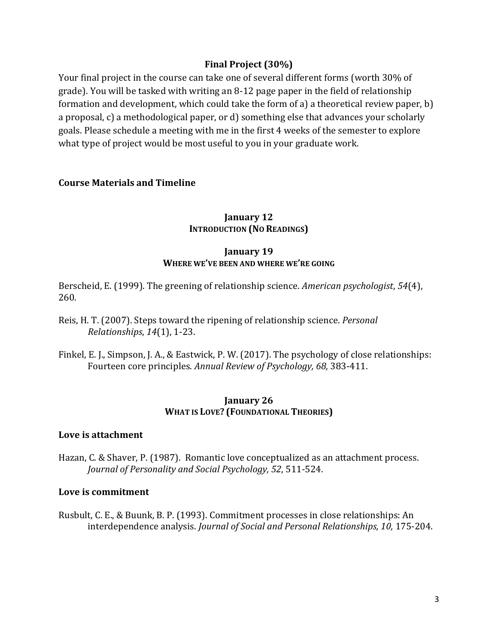## **Final Project (30%)**

Your final project in the course can take one of several different forms (worth 30% of grade). You will be tasked with writing an 8-12 page paper in the field of relationship formation and development, which could take the form of a) a theoretical review paper, b) a proposal, c) a methodological paper, or d) something else that advances your scholarly goals. Please schedule a meeting with me in the first 4 weeks of the semester to explore what type of project would be most useful to you in your graduate work.

## **Course Materials and Timeline**

## **January 12 INTRODUCTION (NO READINGS)**

#### **January 19 WHERE WE'VE BEEN AND WHERE WE'RE GOING**

Berscheid, E. (1999). The greening of relationship science. *American psychologist*, *54*(4), 260.

Reis, H. T. (2007). Steps toward the ripening of relationship science. *Personal Relationships*, *14*(1), 1-23.

Finkel, E. J., Simpson, J. A., & Eastwick, P. W. (2017). The psychology of close relationships: Fourteen core principles. *Annual Review of Psychology, 68,* 383-411.

## **January 26 WHAT IS LOVE? (FOUNDATIONAL THEORIES)**

## **Love is attachment**

Hazan, C. & Shaver, P. (1987). Romantic love conceptualized as an attachment process. *Journal of Personality and Social Psychology, 52*, 511-524.

## **Love is commitment**

Rusbult, C. E., & Buunk, B. P. (1993). Commitment processes in close relationships: An interdependence analysis. *Journal of Social and Personal Relationships, 10,* 175-204.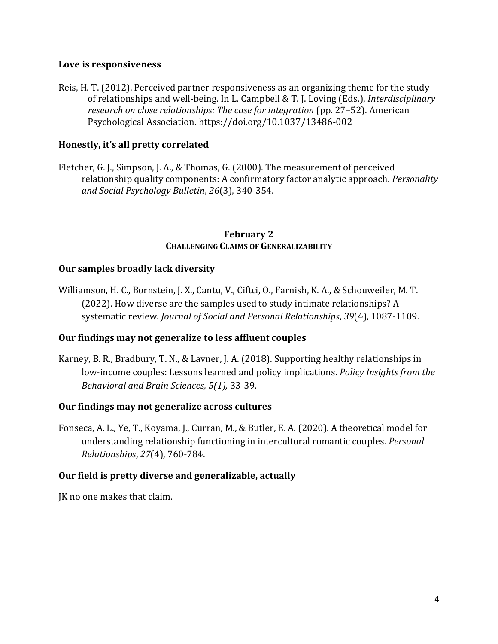#### **Love is responsiveness**

Reis, H. T. (2012). Perceived partner responsiveness as an organizing theme for the study of relationships and well-being. In L. Campbell & T. J. Loving (Eds.), *Interdisciplinary research on close relationships: The case for integration* (pp. 27–52). American Psychological Association. [https://doi.org/10.1037/13486-002](https://psycnet.apa.org/doi/10.1037/13486-002)

## **Honestly, it's all pretty correlated**

Fletcher, G. J., Simpson, J. A., & Thomas, G. (2000). The measurement of perceived relationship quality components: A confirmatory factor analytic approach. *Personality and Social Psychology Bulletin*, *26*(3), 340-354.

#### **February 2 CHALLENGING CLAIMS OF GENERALIZABILITY**

#### **Our samples broadly lack diversity**

Williamson, H. C., Bornstein, J. X., Cantu, V., Ciftci, O., Farnish, K. A., & Schouweiler, M. T. (2022). How diverse are the samples used to study intimate relationships? A systematic review. *Journal of Social and Personal Relationships*, *39*(4), 1087-1109.

## **Our findings may not generalize to less affluent couples**

Karney, B. R., Bradbury, T. N., & Lavner, J. A. (2018). Supporting healthy relationships in low-income couples: Lessons learned and policy implications. *Policy Insights from the Behavioral and Brain Sciences, 5(1),* 33-39.

#### **Our findings may not generalize across cultures**

Fonseca, A. L., Ye, T., Koyama, J., Curran, M., & Butler, E. A. (2020). A theoretical model for understanding relationship functioning in intercultural romantic couples. *Personal Relationships*, *27*(4), 760-784.

## **Our field is pretty diverse and generalizable, actually**

JK no one makes that claim.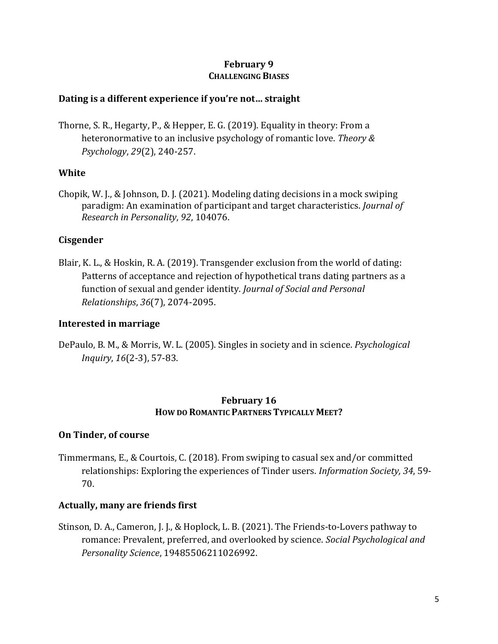# **February 9 CHALLENGING BIASES**

## **Dating is a different experience if you're not… straight**

Thorne, S. R., Hegarty, P., & Hepper, E. G. (2019). Equality in theory: From a heteronormative to an inclusive psychology of romantic love. *Theory & Psychology*, *29*(2), 240-257.

## **White**

Chopik, W. J., & Johnson, D. J. (2021). Modeling dating decisions in a mock swiping paradigm: An examination of participant and target characteristics. *Journal of Research in Personality*, *92*, 104076.

## **Cisgender**

Blair, K. L., & Hoskin, R. A. (2019). Transgender exclusion from the world of dating: Patterns of acceptance and rejection of hypothetical trans dating partners as a function of sexual and gender identity. *Journal of Social and Personal Relationships*, *36*(7), 2074-2095.

## **Interested in marriage**

DePaulo, B. M., & Morris, W. L. (2005). Singles in society and in science. *Psychological Inquiry*, *16*(2-3), 57-83.

## **February 16 HOW DO ROMANTIC PARTNERS TYPICALLY MEET?**

## **On Tinder, of course**

Timmermans, E., & Courtois, C. (2018). From swiping to casual sex and/or committed relationships: Exploring the experiences of Tinder users. *Information Society, 34*, 59- 70.

# **Actually, many are friends first**

Stinson, D. A., Cameron, J. J., & Hoplock, L. B. (2021). The Friends-to-Lovers pathway to romance: Prevalent, preferred, and overlooked by science. *Social Psychological and Personality Science*, 19485506211026992.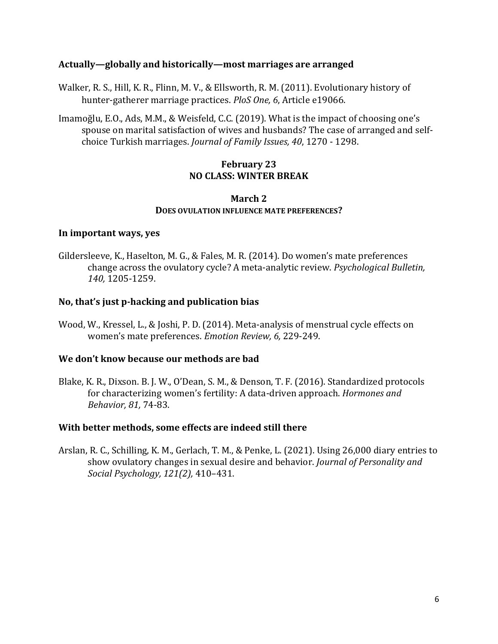#### **Actually—globally and historically—most marriages are arranged**

- Walker, R. S., Hill, K. R., Flinn, M. V., & Ellsworth, R. M. (2011). Evolutionary history of hunter-gatherer marriage practices. *PloS One, 6*, Article e19066.
- Imamoğlu, E.O., Ads, M.M., & Weisfeld, C.C. (2019). What is the impact of choosing one's spouse on marital satisfaction of wives and husbands? The case of arranged and selfchoice Turkish marriages. *Journal of Family Issues, 40*, 1270 - 1298.

## **February 23 NO CLASS: WINTER BREAK**

#### **March 2 DOES OVULATION INFLUENCE MATE PREFERENCES?**

#### **In important ways, yes**

Gildersleeve, K., Haselton, M. G., & Fales, M. R. (2014). Do women's mate preferences change across the ovulatory cycle? A meta-analytic review. *Psychological Bulletin, 140,* 1205-1259.

#### **No, that's just p-hacking and publication bias**

Wood, W., Kressel, L., & Joshi, P. D. (2014). Meta-analysis of menstrual cycle effects on women's mate preferences. *Emotion Review, 6,* 229-249.

#### **We don't know because our methods are bad**

Blake, K. R., Dixson. B. J. W., O'Dean, S. M., & Denson, T. F. (2016). Standardized protocols for characterizing women's fertility: A data-driven approach. *Hormones and Behavior, 81,* 74-83.

#### **With better methods, some effects are indeed still there**

Arslan, R. C., Schilling, K. M., Gerlach, T. M., & Penke, L. (2021). Using 26,000 diary entries to show ovulatory changes in sexual desire and behavior. *Journal of Personality and Social Psychology, 121(2),* 410–431.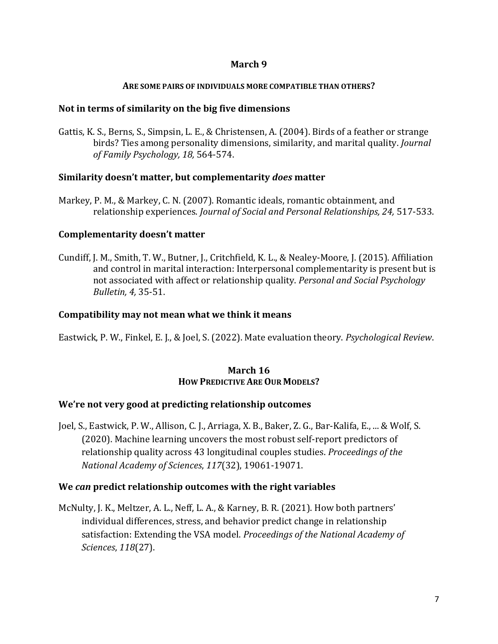## **March 9**

## **ARE SOME PAIRS OF INDIVIDUALS MORE COMPATIBLE THAN OTHERS?**

## **Not in terms of similarity on the big five dimensions**

Gattis, K. S., Berns, S., Simpsin, L. E., & Christensen, A. (2004). Birds of a feather or strange birds? Ties among personality dimensions, similarity, and marital quality. *Journal of Family Psychology, 18,* 564-574.

## **Similarity doesn't matter, but complementarity** *does* **matter**

Markey, P. M., & Markey, C. N. (2007). Romantic ideals, romantic obtainment, and relationship experiences. *Journal of Social and Personal Relationships, 24,* 517-533.

# **Complementarity doesn't matter**

Cundiff, J. M., Smith, T. W., Butner, J., Critchfield, K. L., & Nealey-Moore, J. (2015). Affiliation and control in marital interaction: Interpersonal complementarity is present but is not associated with affect or relationship quality. *Personal and Social Psychology Bulletin, 4,* 35-51.

## **Compatibility may not mean what we think it means**

Eastwick, P. W., Finkel, E. J., & Joel, S. (2022). Mate evaluation theory. *Psychological Review*.

#### **March 16 HOW PREDICTIVE ARE OUR MODELS?**

## **We're not very good at predicting relationship outcomes**

Joel, S., Eastwick, P. W., Allison, C. J., Arriaga, X. B., Baker, Z. G., Bar-Kalifa, E., ... & Wolf, S. (2020). Machine learning uncovers the most robust self-report predictors of relationship quality across 43 longitudinal couples studies. *Proceedings of the National Academy of Sciences*, *117*(32), 19061-19071.

## **We** *can* **predict relationship outcomes with the right variables**

McNulty, J. K., Meltzer, A. L., Neff, L. A., & Karney, B. R. (2021). How both partners' individual differences, stress, and behavior predict change in relationship satisfaction: Extending the VSA model. *Proceedings of the National Academy of Sciences*, *118*(27).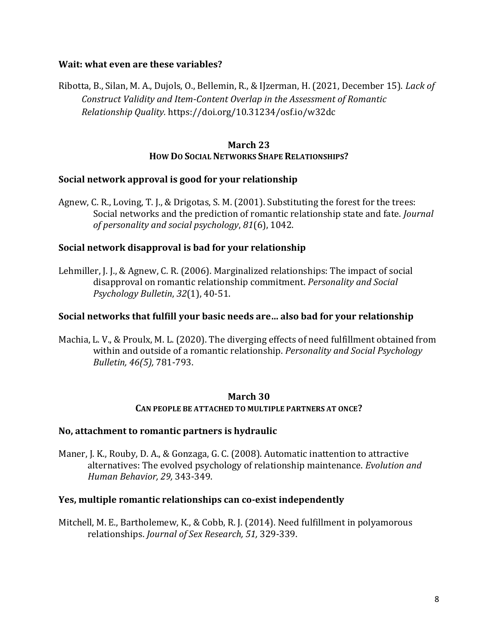#### **Wait: what even are these variables?**

Ribotta, B., Silan, M. A., Dujols, O., Bellemin, R., & IJzerman, H. (2021, December 15). *Lack of Construct Validity and Item-Content Overlap in the Assessment of Romantic Relationship Quality.* https://doi.org/10.31234/osf.io/w32dc

#### **March 23 HOW DO SOCIAL NETWORKS SHAPE RELATIONSHIPS?**

#### **Social network approval is good for your relationship**

Agnew, C. R., Loving, T. J., & Drigotas, S. M. (2001). Substituting the forest for the trees: Social networks and the prediction of romantic relationship state and fate. *Journal of personality and social psychology*, *81*(6), 1042.

#### **Social network disapproval is bad for your relationship**

Lehmiller, J. J., & Agnew, C. R. (2006). Marginalized relationships: The impact of social disapproval on romantic relationship commitment. *Personality and Social Psychology Bulletin*, *32*(1), 40-51.

#### **Social networks that fulfill your basic needs are… also bad for your relationship**

Machia, L. V., & Proulx, M. L. (2020). The diverging effects of need fulfillment obtained from within and outside of a romantic relationship. *Personality and Social Psychology Bulletin, 46(5),* 781-793.

#### **March 30 CAN PEOPLE BE ATTACHED TO MULTIPLE PARTNERS AT ONCE?**

#### **No, attachment to romantic partners is hydraulic**

Maner, J. K., Rouby, D. A., & Gonzaga, G. C. (2008). Automatic inattention to attractive alternatives: The evolved psychology of relationship maintenance. *Evolution and Human Behavior, 29,* 343-349.

#### **Yes, multiple romantic relationships can co-exist independently**

Mitchell, M. E., Bartholemew, K., & Cobb, R. J. (2014). Need fulfillment in polyamorous relationships. *Journal of Sex Research, 51,* 329-339.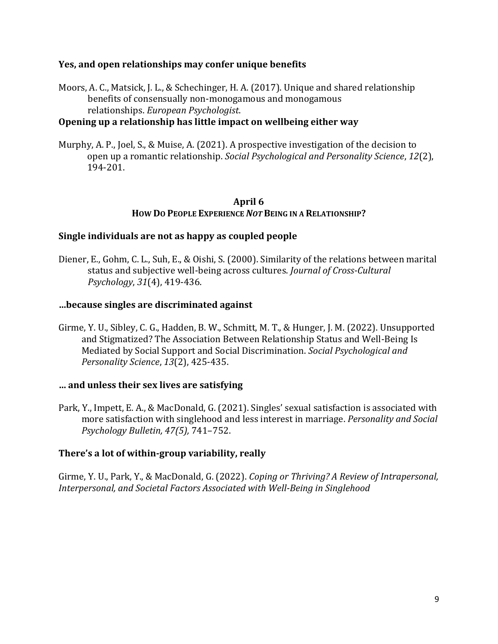#### **Yes, and open relationships may confer unique benefits**

Moors, A. C., Matsick, J. L., & Schechinger, H. A. (2017). Unique and shared relationship benefits of consensually non-monogamous and monogamous relationships. *European Psychologist*.

#### **Opening up a relationship has little impact on wellbeing either way**

Murphy, A. P., Joel, S., & Muise, A. (2021). A prospective investigation of the decision to open up a romantic relationship. *Social Psychological and Personality Science*, *12*(2), 194-201.

## **April 6 HOW DO PEOPLE EXPERIENCE** *NOT* **BEING IN A RELATIONSHIP?**

#### **Single individuals are not as happy as coupled people**

Diener, E., Gohm, C. L., Suh, E., & Oishi, S. (2000). Similarity of the relations between marital status and subjective well-being across cultures. *Journal of Cross-Cultural Psychology*, *31*(4), 419-436.

#### **…because singles are discriminated against**

Girme, Y. U., Sibley, C. G., Hadden, B. W., Schmitt, M. T., & Hunger, J. M. (2022). Unsupported and Stigmatized? The Association Between Relationship Status and Well-Being Is Mediated by Social Support and Social Discrimination. *Social Psychological and Personality Science*, *13*(2), 425-435.

#### **… and unless their sex lives are satisfying**

Park, Y., Impett, E. A., & MacDonald, G. (2021). Singles' sexual satisfaction is associated with more satisfaction with singlehood and less interest in marriage. *Personality and Social Psychology Bulletin, 47(5),* 741–752.

## **There's a lot of within-group variability, really**

Girme, Y. U., Park, Y., & MacDonald, G. (2022). *Coping or Thriving? A Review of Intrapersonal, Interpersonal, and Societal Factors Associated with Well-Being in Singlehood*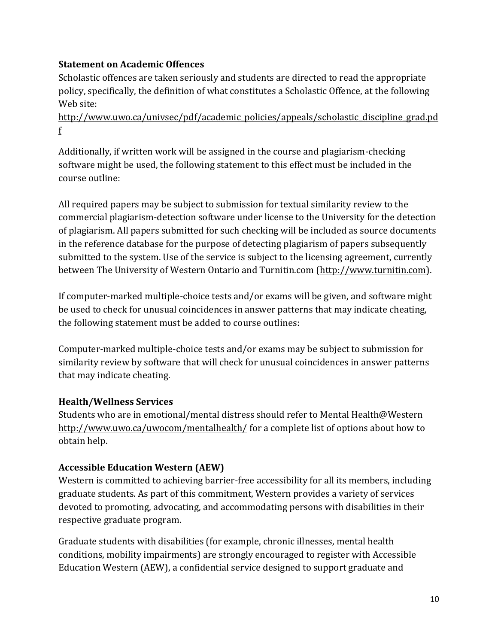# **Statement on Academic Offences**

Scholastic offences are taken seriously and students are directed to read the appropriate policy, specifically, the definition of what constitutes a Scholastic Offence, at the following Web site:

[http://www.uwo.ca/univsec/pdf/academic\\_policies/appeals/scholastic\\_discipline\\_grad.pd](http://www.uwo.ca/univsec/pdf/academic_policies/appeals/scholastic_discipline_grad.pdf) [f](http://www.uwo.ca/univsec/pdf/academic_policies/appeals/scholastic_discipline_grad.pdf)

Additionally, if written work will be assigned in the course and plagiarism-checking software might be used, the following statement to this effect must be included in the course outline:

All required papers may be subject to submission for textual similarity review to the commercial plagiarism-detection software under license to the University for the detection of plagiarism. All papers submitted for such checking will be included as source documents in the reference database for the purpose of detecting plagiarism of papers subsequently submitted to the system. Use of the service is subject to the licensing agreement, currently between The University of Western Ontario and Turnitin.com [\(http://www.turnitin.com\)](http://www.turnitin.com/).

If computer-marked multiple-choice tests and/or exams will be given, and software might be used to check for unusual coincidences in answer patterns that may indicate cheating, the following statement must be added to course outlines:

Computer-marked multiple-choice tests and/or exams may be subject to submission for similarity review by software that will check for unusual coincidences in answer patterns that may indicate cheating.

# **Health/Wellness Services**

Students who are in emotional/mental distress should refer to Mental Health@Western <http://www.uwo.ca/uwocom/mentalhealth/> for a complete list of options about how to obtain help.

# **Accessible Education Western (AEW)**

Western is committed to achieving barrier-free accessibility for all its members, including graduate students. As part of this commitment, Western provides a variety of services devoted to promoting, advocating, and accommodating persons with disabilities in their respective graduate program.

Graduate students with disabilities (for example, chronic illnesses, mental health conditions, mobility impairments) are strongly encouraged to register with Accessible Education Western (AEW), a confidential service designed to support graduate and